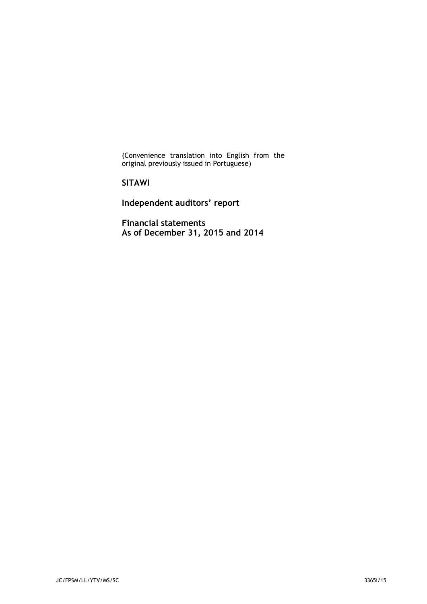(Convenience translation into English from the original previously issued in Portuguese)

# **SITAWI**

**Independent auditors' report**

**Financial statements As of December 31, 2015 and 2014**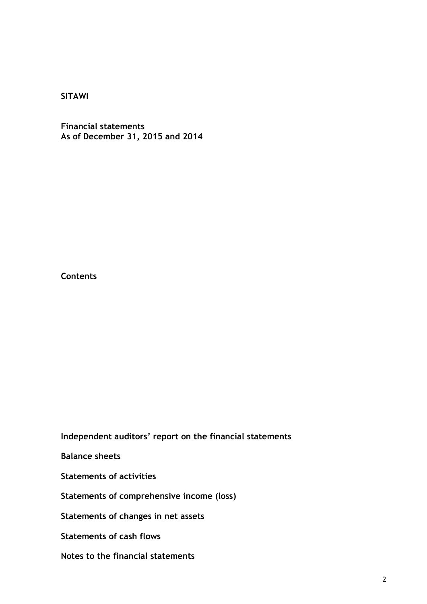**Financial statements As of December 31, 2015 and 2014**

**Contents**

**Independent auditors' report on the financial statements**

**Balance sheets**

**Statements of activities**

**Statements of comprehensive income (loss)**

**Statements of changes in net assets**

**Statements of cash flows**

**Notes to the financial statements**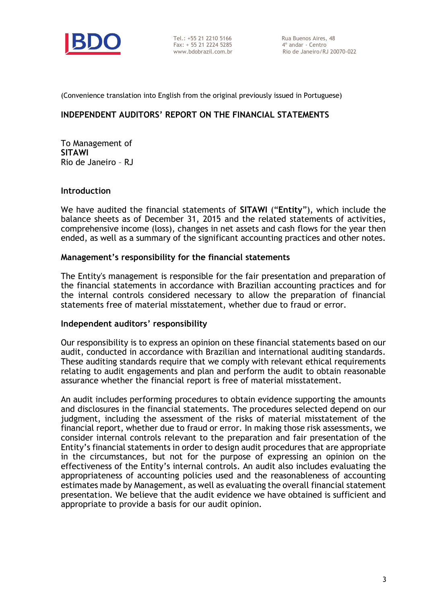

Tel.: +55 21 2210 5166 Rua Buenos Aires, 48<br>Fax: + 55 21 2224 5285 4° andar - Centro  $Fax: + 552122245285$ 

(Convenience translation into English from the original previously issued in Portuguese)

# **INDEPENDENT AUDITORS' REPORT ON THE FINANCIAL STATEMENTS**

To Management of **SITAWI** Rio de Janeiro – RJ

#### **Introduction**

We have audited the financial statements of **SITAWI** ("**Entity**"), which include the balance sheets as of December 31, 2015 and the related statements of activities, comprehensive income (loss), changes in net assets and cash flows for the year then ended, as well as a summary of the significant accounting practices and other notes.

#### **Management's responsibility for the financial statements**

The Entity's management is responsible for the fair presentation and preparation of the financial statements in accordance with Brazilian accounting practices and for the internal controls considered necessary to allow the preparation of financial statements free of material misstatement, whether due to fraud or error.

#### **Independent auditors' responsibility**

Our responsibility is to express an opinion on these financial statements based on our audit, conducted in accordance with Brazilian and international auditing standards. These auditing standards require that we comply with relevant ethical requirements relating to audit engagements and plan and perform the audit to obtain reasonable assurance whether the financial report is free of material misstatement.

An audit includes performing procedures to obtain evidence supporting the amounts and disclosures in the financial statements. The procedures selected depend on our judgment, including the assessment of the risks of material misstatement of the financial report, whether due to fraud or error. In making those risk assessments, we consider internal controls relevant to the preparation and fair presentation of the Entity's financial statements in order to design audit procedures that are appropriate in the circumstances, but not for the purpose of expressing an opinion on the effectiveness of the Entity's internal controls. An audit also includes evaluating the appropriateness of accounting policies used and the reasonableness of accounting estimates made by Management, as well as evaluating the overall financial statement presentation. We believe that the audit evidence we have obtained is sufficient and appropriate to provide a basis for our audit opinion.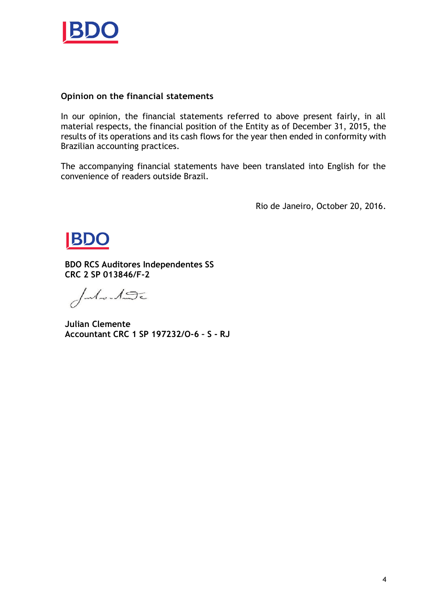

# **Opinion on the financial statements**

In our opinion, the financial statements referred to above present fairly, in all material respects, the financial position of the Entity as of December 31, 2015, the results of its operations and its cash flows for the year then ended in conformity with Brazilian accounting practices.

The accompanying financial statements have been translated into English for the convenience of readers outside Brazil.

Rio de Janeiro, October 20, 2016.



**BDO RCS Auditores Independentes SS CRC 2 SP 013846/F-2**

Julie-190

**Julian Clemente Accountant CRC 1 SP 197232/O-6 – S - RJ**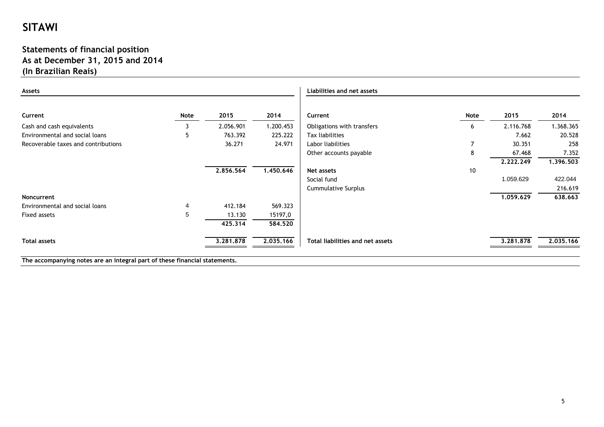# **Statements of financial position As at December 31, 2015 and 2014 (In Brazilian Reais)**

| Assets                              |            |           |           | Liabilities and net assets       |                |           |           |
|-------------------------------------|------------|-----------|-----------|----------------------------------|----------------|-----------|-----------|
| Current                             | Note       | 2015      | 2014      | Current                          | Note           | 2015      | 2014      |
| Cash and cash equivalents           |            | 2.056.901 | 1.200.453 | Obligations with transfers       | 6              | 2.116.768 | 1.368.365 |
| Environmental and social loans      | 5          | 763.392   | 225.222   | Tax liabilities                  |                | 7.662     | 20.528    |
| Recoverable taxes and contributions |            | 36.271    | 24.971    | Labor liabilities                | $\overline{7}$ | 30.351    | 258       |
|                                     |            |           |           | Other accounts payable           | 8              | 67.468    | 7.352     |
|                                     |            |           |           |                                  |                | 2.222.249 | 1.396.503 |
|                                     |            | 2.856.564 | 1.450.646 | Net assets                       | 10             |           |           |
|                                     |            |           |           | Social fund                      |                | 1.059.629 | 422.044   |
|                                     |            |           |           | Cummulative Surplus              |                |           | 216.619   |
| Noncurrent                          |            |           |           |                                  |                | 1,059,629 | 638.663   |
| Environmental and social loans      | 4          | 412.184   | 569.323   |                                  |                |           |           |
| Fixed assets                        | $\sqrt{5}$ | 13.130    | 15197,0   |                                  |                |           |           |
|                                     |            | 425.314   | 584,520   |                                  |                |           |           |
| <b>Total assets</b>                 |            | 3.281.878 | 2.035.166 | Total liabilities and net assets |                | 3.281.878 | 2.035.166 |

**The accompanying notes are an integral part of these financial statements.**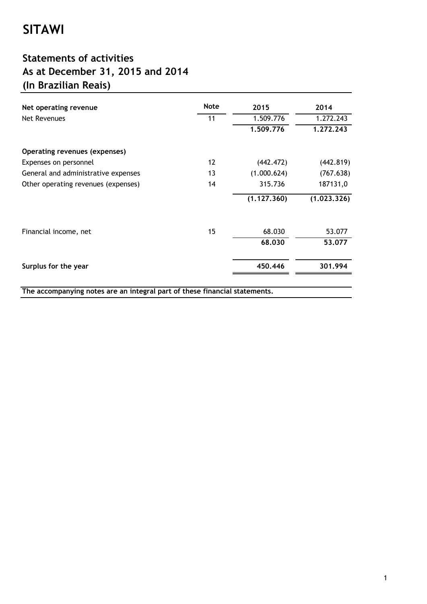# **Statements of activities As at December 31, 2015 and 2014 (In Brazilian Reais)**

| Net operating revenue                                                      | <b>Note</b>       | 2015        | 2014        |
|----------------------------------------------------------------------------|-------------------|-------------|-------------|
| Net Revenues                                                               | 11                | 1.509.776   | 1.272.243   |
|                                                                            |                   | 1.509.776   | 1,272,243   |
| Operating revenues (expenses)                                              |                   |             |             |
| Expenses on personnel                                                      | $12 \overline{ }$ | (442.472)   | (442.819)   |
| General and administrative expenses                                        | 13                | (1.000.624) | (767.638)   |
| Other operating revenues (expenses)                                        | 14                | 315.736     | 187131,0    |
|                                                                            |                   | (1.127.360) | (1.023.326) |
| Financial income, net                                                      | 15                | 68.030      | 53.077      |
|                                                                            |                   | 68,030      | 53.077      |
| Surplus for the year                                                       |                   | 450.446     | 301.994     |
| The accompanying notes are an integral part of these financial statements. |                   |             |             |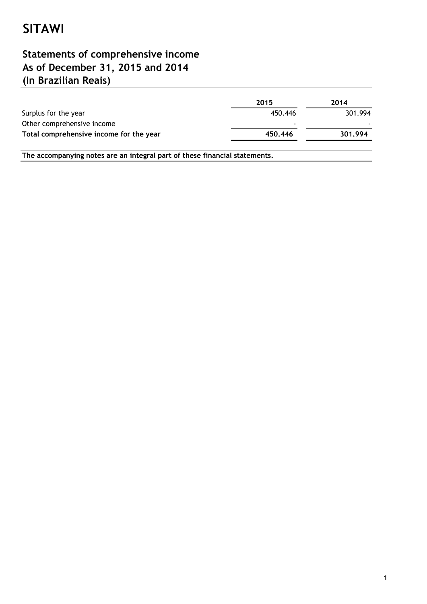# **(In Brazilian Reais) Statements of comprehensive income As of December 31, 2015 and 2014**

|                                         | 2015                     | 2014    |
|-----------------------------------------|--------------------------|---------|
| Surplus for the year                    | 450.446                  | 301.994 |
| Other comprehensive income              | $\overline{\phantom{0}}$ |         |
| Total comprehensive income for the year | 450.446                  | 301.994 |
|                                         |                          |         |

**The accompanying notes are an integral part of these financial statements.**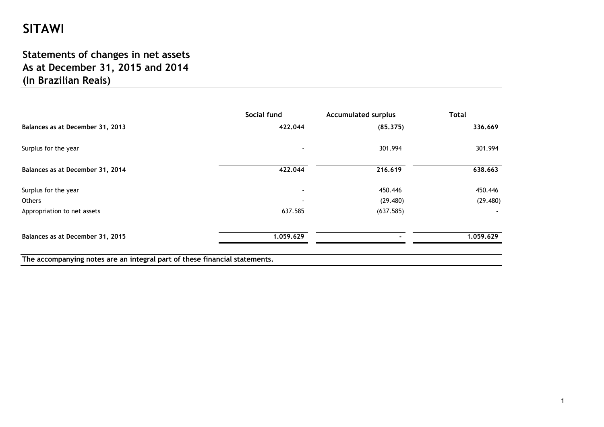# **Statements of changes in net assets As at December 31, 2015 and 2014 (In Brazilian Reais)**

|                                                                            | Social fund | <b>Accumulated surplus</b> | <b>Total</b> |
|----------------------------------------------------------------------------|-------------|----------------------------|--------------|
| Balances as at December 31, 2013                                           | 422.044     | (85.375)                   | 336.669      |
| Surplus for the year                                                       |             | 301.994                    | 301.994      |
| Balances as at December 31, 2014                                           | 422.044     | 216.619                    | 638.663      |
| Surplus for the year                                                       |             | 450.446                    | 450.446      |
| <b>Others</b>                                                              |             | (29.480)                   | (29.480)     |
| Appropriation to net assets                                                | 637.585     | (637.585)                  |              |
| Balances as at December 31, 2015                                           | 1.059.629   |                            | 1.059.629    |
| The accompanying notes are an integral part of these financial statements. |             |                            |              |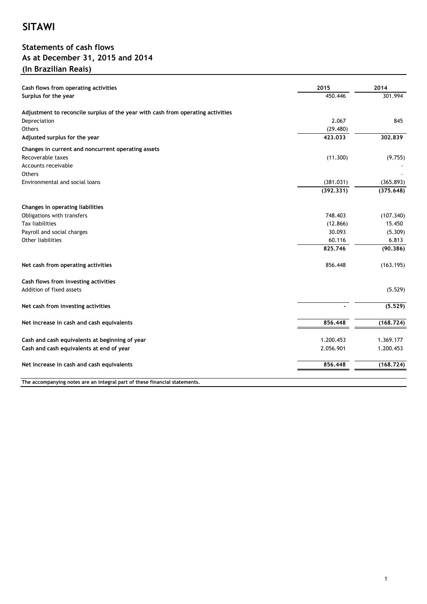# **Statements of cash flows As at December 31, 2015 and 2014 (In Brazilian Reais)**

| Cash flows from operating activities                                            | 2015      | 2014      |
|---------------------------------------------------------------------------------|-----------|-----------|
| Surplus for the year                                                            | 450.446   | 301.994   |
| Adjustment to reconcile surplus of the year with cash from operating activities |           |           |
| Depreciation                                                                    | 2.067     | 845       |
| Others                                                                          | (29.480)  |           |
| Adjusted surplus for the year                                                   | 423.033   | 302,839   |
| Changes in current and noncurrent operating assets                              |           |           |
| Recoverable taxes                                                               | (11.300)  | (9.755)   |
| Accounts receivable                                                             |           |           |
| <b>Others</b>                                                                   |           |           |
| Environmental and social loans                                                  | (381.031) | (365.893) |
|                                                                                 | (392.331) | (375.648) |
| Changes in operating liabilities                                                |           |           |
| Obligations with transfers                                                      | 748.403   | (107.340) |
| <b>Tax liabilities</b>                                                          | (12.866)  | 15.450    |
| Payroll and social charges                                                      | 30.093    | (5.309)   |
| Other liabilities                                                               | 60.116    | 6.813     |
|                                                                                 | 825.746   | (90.386)  |
|                                                                                 |           |           |
| Net cash from operating activities                                              | 856.448   | (163.195) |
| Cash flows from investing activities                                            |           |           |
| Addition of fixed assets                                                        |           | (5.529)   |
| Net cash from investing activities                                              |           | (5.529)   |
| Net increase in cash and cash equivalents                                       | 856,448   | (168.724) |
| Cash and cash equivalents at beginning of year                                  | 1.200.453 | 1.369.177 |
| Cash and cash equivalents at end of year                                        | 2.056.901 | 1.200.453 |
|                                                                                 |           |           |
| Net increase in cash and cash equivalents                                       | 856.448   | (168.724) |
| The accompanying notes are an integral part of these financial statements.      |           |           |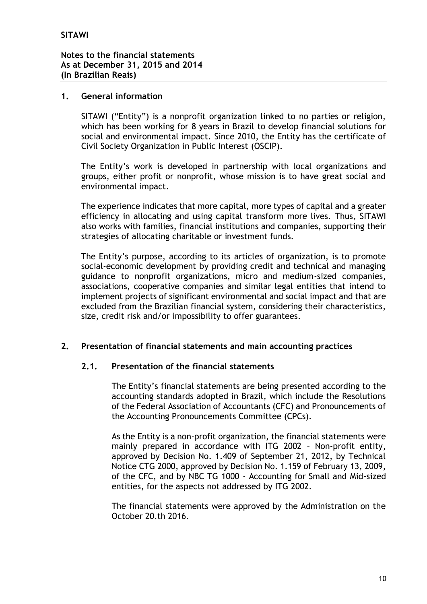# **1. General information**

SITAWI ("Entity") is a nonprofit organization linked to no parties or religion, which has been working for 8 years in Brazil to develop financial solutions for social and environmental impact. Since 2010, the Entity has the certificate of Civil Society Organization in Public Interest (OSCIP).

The Entity's work is developed in partnership with local organizations and groups, either profit or nonprofit, whose mission is to have great social and environmental impact.

The experience indicates that more capital, more types of capital and a greater efficiency in allocating and using capital transform more lives. Thus, SITAWI also works with families, financial institutions and companies, supporting their strategies of allocating charitable or investment funds.

The Entity's purpose, according to its articles of organization, is to promote social-economic development by providing credit and technical and managing guidance to nonprofit organizations, micro and medium-sized companies, associations, cooperative companies and similar legal entities that intend to implement projects of significant environmental and social impact and that are excluded from the Brazilian financial system, considering their characteristics, size, credit risk and/or impossibility to offer guarantees.

# **2. Presentation of financial statements and main accounting practices**

# **2.1. Presentation of the financial statements**

The Entity's financial statements are being presented according to the accounting standards adopted in Brazil, which include the Resolutions of the Federal Association of Accountants (CFC) and Pronouncements of the Accounting Pronouncements Committee (CPCs).

As the Entity is a non-profit organization, the financial statements were mainly prepared in accordance with ITG 2002 – Non-profit entity, approved by Decision No. 1.409 of September 21, 2012, by Technical Notice CTG 2000, approved by Decision No. 1.159 of February 13, 2009, of the CFC, and by NBC TG 1000 - Accounting for Small and Mid-sized entities, for the aspects not addressed by ITG 2002.

The financial statements were approved by the Administration on the October 20.th 2016.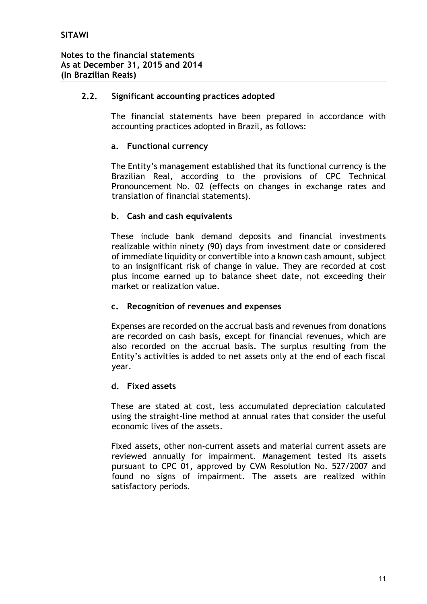# **2.2. Significant accounting practices adopted**

The financial statements have been prepared in accordance with accounting practices adopted in Brazil, as follows:

# **a. Functional currency**

The Entity's management established that its functional currency is the Brazilian Real, according to the provisions of CPC Technical Pronouncement No. 02 (effects on changes in exchange rates and translation of financial statements).

# **b. Cash and cash equivalents**

These include bank demand deposits and financial investments realizable within ninety (90) days from investment date or considered of immediate liquidity or convertible into a known cash amount, subject to an insignificant risk of change in value. They are recorded at cost plus income earned up to balance sheet date, not exceeding their market or realization value.

#### **c. Recognition of revenues and expenses**

Expenses are recorded on the accrual basis and revenues from donations are recorded on cash basis, except for financial revenues, which are also recorded on the accrual basis. The surplus resulting from the Entity's activities is added to net assets only at the end of each fiscal year.

#### **d. Fixed assets**

These are stated at cost, less accumulated depreciation calculated using the straight-line method at annual rates that consider the useful economic lives of the assets.

Fixed assets, other non-current assets and material current assets are reviewed annually for impairment. Management tested its assets pursuant to CPC 01, approved by CVM Resolution No. 527/2007 and found no signs of impairment. The assets are realized within satisfactory periods.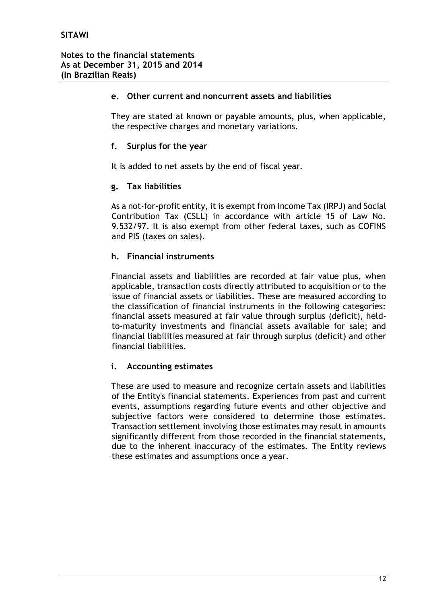# **e. Other current and noncurrent assets and liabilities**

They are stated at known or payable amounts, plus, when applicable, the respective charges and monetary variations.

# **f. Surplus for the year**

It is added to net assets by the end of fiscal year.

# **g. Tax liabilities**

As a not-for-profit entity, it is exempt from Income Tax (IRPJ) and Social Contribution Tax (CSLL) in accordance with article 15 of Law No. 9.532/97. It is also exempt from other federal taxes, such as COFINS and PIS (taxes on sales).

# **h. Financial instruments**

Financial assets and liabilities are recorded at fair value plus, when applicable, transaction costs directly attributed to acquisition or to the issue of financial assets or liabilities. These are measured according to the classification of financial instruments in the following categories: financial assets measured at fair value through surplus (deficit), heldto-maturity investments and financial assets available for sale; and financial liabilities measured at fair through surplus (deficit) and other financial liabilities.

# **i. Accounting estimates**

These are used to measure and recognize certain assets and liabilities of the Entity's financial statements. Experiences from past and current events, assumptions regarding future events and other objective and subjective factors were considered to determine those estimates. Transaction settlement involving those estimates may result in amounts significantly different from those recorded in the financial statements, due to the inherent inaccuracy of the estimates. The Entity reviews these estimates and assumptions once a year.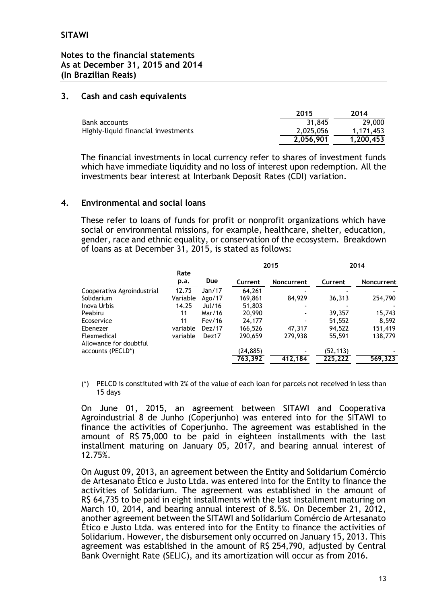# **Notes to the financial statements As at December 31, 2015 and 2014 (In Brazilian Reais)**

# **3. Cash and cash equivalents**

|                                     | 2015      | 2014      |
|-------------------------------------|-----------|-----------|
| Bank accounts                       | 31.845    | 29,000    |
| Highly-liquid financial investments | 2.025.056 | 1.171.453 |
|                                     | 2.056.901 | 1.200.453 |

The financial investments in local currency refer to shares of investment funds which have immediate liquidity and no loss of interest upon redemption. All the investments bear interest at Interbank Deposit Rates (CDI) variation.

# **4. Environmental and social loans**

These refer to loans of funds for profit or nonprofit organizations which have social or environmental missions, for example, healthcare, shelter, education, gender, race and ethnic equality, or conservation of the ecosystem. Breakdown of loans as at December 31, 2015, is stated as follows:

|              |        |          |                   | 2014     |            |
|--------------|--------|----------|-------------------|----------|------------|
| Rate<br>p.a. | Due    | Current  | <b>Noncurrent</b> | Current  | Noncurrent |
| 12.75        | Jan/17 | 64,261   |                   |          |            |
| Variable     | Ago/17 | 169,861  | 84,929            | 36,313   | 254,790    |
| 14.25        | Jul/16 | 51,803   |                   |          |            |
| 11           | Mar/16 | 20,990   |                   | 39,357   | 15,743     |
| 11           | Fev/16 | 24,177   |                   | 51,552   | 8,592      |
| variable     | Dez/17 | 166,526  | 47.317            | 94.522   | 151,419    |
| variable     | Dez17  | 290,659  | 279,938           | 55,591   | 138,779    |
|              |        |          |                   |          |            |
|              |        | (24,885) |                   | (52,113) |            |
|              |        | 763,392  | 412.184           | 225.222  | 569,323    |
|              |        |          |                   | 2015     |            |

(\*) PELCD is constituted with 2% of the value of each loan for parcels not received in less than 15 days

On June 01, 2015, an agreement between SITAWI and Cooperativa Agroindustrial 8 de Junho (Coperjunho) was entered into for the SITAWI to finance the activities of Coperjunho. The agreement was established in the amount of R\$ 75,000 to be paid in eighteen installments with the last installment maturing on January 05, 2017, and bearing annual interest of 12.75%.

On August 09, 2013, an agreement between the Entity and Solidarium Comércio de Artesanato Ético e Justo Ltda. was entered into for the Entity to finance the activities of Solidarium. The agreement was established in the amount of R\$ 64,735 to be paid in eight installments with the last installment maturing on March 10, 2014, and bearing annual interest of 8.5%. On December 21, 2012, another agreement between the SITAWI and Solidarium Comércio de Artesanato Ético e Justo Ltda. was entered into for the Entity to finance the activities of Solidarium. However, the disbursement only occurred on January 15, 2013. This agreement was established in the amount of R\$ 254,790, adjusted by Central Bank Overnight Rate (SELIC), and its amortization will occur as from 2016.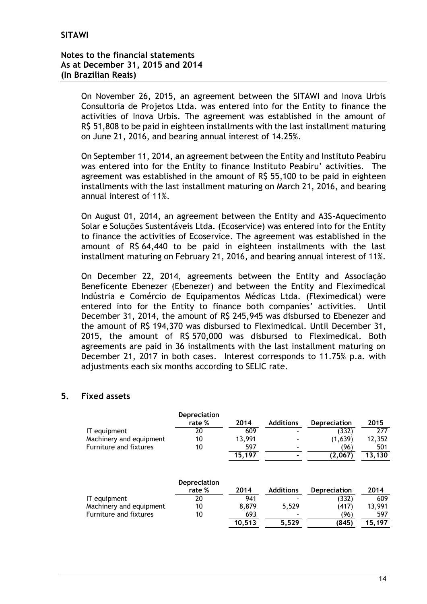On November 26, 2015, an agreement between the SITAWI and Inova Urbis Consultoria de Projetos Ltda. was entered into for the Entity to finance the activities of Inova Urbis. The agreement was established in the amount of R\$ 51,808 to be paid in eighteen installments with the last installment maturing on June 21, 2016, and bearing annual interest of 14.25%.

On September 11, 2014, an agreement between the Entity and Instituto Peabiru was entered into for the Entity to finance Instituto Peabiru' activities. The agreement was established in the amount of R\$ 55,100 to be paid in eighteen installments with the last installment maturing on March 21, 2016, and bearing annual interest of 11%.

On August 01, 2014, an agreement between the Entity and A3S-Aquecimento Solar e Soluções Sustentáveis Ltda. (Ecoservice) was entered into for the Entity to finance the activities of Ecoservice. The agreement was established in the amount of R\$ 64,440 to be paid in eighteen installments with the last installment maturing on February 21, 2016, and bearing annual interest of 11%.

On December 22, 2014, agreements between the Entity and Associação Beneficente Ebenezer (Ebenezer) and between the Entity and Fleximedical Indústria e Comércio de Equipamentos Médicas Ltda. (Fleximedical) were entered into for the Entity to finance both companies' activities. Until December 31, 2014, the amount of R\$ 245,945 was disbursed to Ebenezer and the amount of R\$ 194,370 was disbursed to Fleximedical. Until December 31, 2015, the amount of R\$ 570,000 was disbursed to Fleximedical. Both agreements are paid in 36 installments with the last installment maturing on December 21, 2017 in both cases. Interest corresponds to 11.75% p.a. with adjustments each six months according to SELIC rate.

# **5. Fixed assets**

|                         | Depreciation                  |        |                  |                     |        |
|-------------------------|-------------------------------|--------|------------------|---------------------|--------|
|                         | rate %                        | 2014   | <b>Additions</b> | <b>Depreciation</b> | 2015   |
| IT equipment            | 20                            | 609    |                  | (332)               | 277    |
| Machinery and equipment | 10                            | 13,991 |                  | (1,639)             | 12,352 |
| Furniture and fixtures  | 10                            | 597    |                  | (96)                | 501    |
|                         |                               | 15,197 |                  | (2,067)             | 13,130 |
|                         | <b>Depreciation</b><br>rate % | 2014   | <b>Additions</b> | <b>Depreciation</b> | 2014   |
| IT equipment            | 20                            | 941    |                  | (332)               | 609    |
| Machinery and equipment | 10                            | 8,879  | 5,529            | (417)               | 13,991 |
| Furniture and fixtures  | 10                            | 693    |                  | (96)                | 597    |
|                         |                               | 10.513 | 5.529            | (845)               | 15,197 |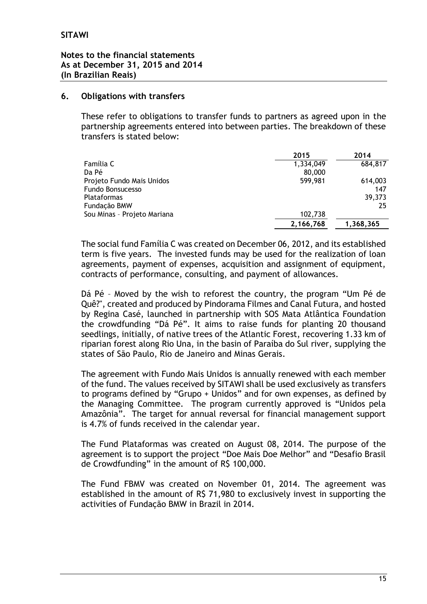# **6. Obligations with transfers**

These refer to obligations to transfer funds to partners as agreed upon in the partnership agreements entered into between parties. The breakdown of these transfers is stated below:

|                             | 2015      | 2014      |
|-----------------------------|-----------|-----------|
| Família C                   | 1,334,049 | 684,817   |
| Da Pé                       | 80,000    |           |
| Projeto Fundo Mais Unidos   | 599,981   | 614,003   |
| <b>Fundo Bonsucesso</b>     |           | 147       |
| Plataformas                 |           | 39,373    |
| Fundação BMW                |           | 25        |
| Sou Minas - Projeto Mariana | 102,738   |           |
|                             | 2,166,768 | 1,368,365 |

The social fund Família C was created on December 06, 2012, and its established term is five years. The invested funds may be used for the realization of loan agreements, payment of expenses, acquisition and assignment of equipment, contracts of performance, consulting, and payment of allowances.

Dá Pé – Moved by the wish to reforest the country, the program "Um Pé de Quê?", created and produced by Pindorama Filmes and Canal Futura, and hosted by Regina Casé, launched in partnership with SOS Mata Atlântica Foundation the crowdfunding "Dá Pé". It aims to raise funds for planting 20 thousand seedlings, initially, of native trees of the Atlantic Forest, recovering 1.33 km of riparian forest along Rio Una, in the basin of Paraíba do Sul river, supplying the states of São Paulo, Rio de Janeiro and Minas Gerais.

The agreement with Fundo Mais Unidos is annually renewed with each member of the fund. The values received by SITAWI shall be used exclusively as transfers to programs defined by "Grupo + Unidos" and for own expenses, as defined by the Managing Committee. The program currently approved is "Unidos pela Amazônia". The target for annual reversal for financial management support is 4.7% of funds received in the calendar year.

The Fund Plataformas was created on August 08, 2014. The purpose of the agreement is to support the project "Doe Mais Doe Melhor" and "Desafio Brasil de Crowdfunding" in the amount of R\$ 100,000.

The Fund FBMV was created on November 01, 2014. The agreement was established in the amount of R\$ 71,980 to exclusively invest in supporting the activities of Fundação BMW in Brazil in 2014.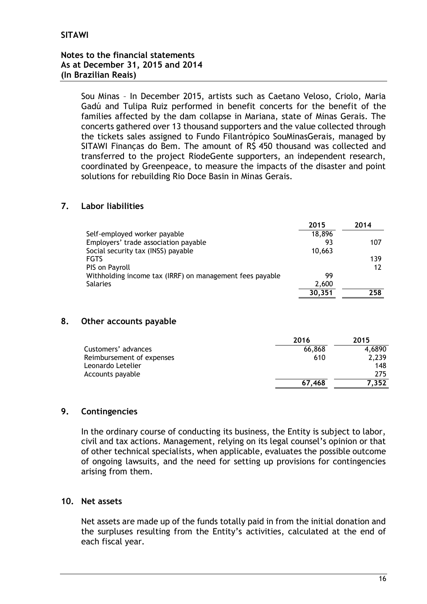# **Notes to the financial statements As at December 31, 2015 and 2014 (In Brazilian Reais)**

Sou Minas – In December 2015, artists such as Caetano Veloso, Criolo, Maria Gadú and Tulipa Ruiz performed in benefit concerts for the benefit of the families affected by the dam collapse in Mariana, state of Minas Gerais. The concerts gathered over 13 thousand supporters and the value collected through the tickets sales assigned to Fundo Filantrópico SouMinasGerais, managed by SITAWI Finanças do Bem. The amount of R\$ 450 thousand was collected and transferred to the project RiodeGente supporters, an independent research, coordinated by Greenpeace, to measure the impacts of the disaster and point solutions for rebuilding Rio Doce Basin in Minas Gerais.

# **7. Labor liabilities**

| 2015                                                     | 2014          |
|----------------------------------------------------------|---------------|
| Self-employed worker payable                             | 18,896        |
| Employers' trade association payable                     | 93<br>107     |
| Social security tax (INSS) payable                       | 10,663        |
| <b>FGTS</b>                                              | 139           |
| PIS on Payroll                                           | 12            |
| Withholding income tax (IRRF) on management fees payable | 99            |
| <b>Salaries</b>                                          | 2.600         |
|                                                          | 258<br>30,351 |

# **8. Other accounts payable**

|                           | 2016   | 2015   |
|---------------------------|--------|--------|
| Customers' advances       | 66,868 | 4,6890 |
| Reimbursement of expenses | 610    | 2,239  |
| Leonardo Letelier         |        | 148    |
| Accounts payable          |        | 275    |
|                           | 67.468 | 7.352  |

# **9. Contingencies**

In the ordinary course of conducting its business, the Entity is subject to labor, civil and tax actions. Management, relying on its legal counsel's opinion or that of other technical specialists, when applicable, evaluates the possible outcome of ongoing lawsuits, and the need for setting up provisions for contingencies arising from them.

# **10. Net assets**

Net assets are made up of the funds totally paid in from the initial donation and the surpluses resulting from the Entity's activities, calculated at the end of each fiscal year.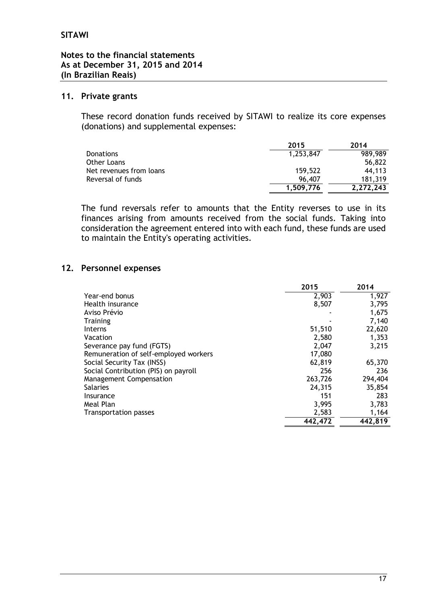### **11. Private grants**

These record donation funds received by SITAWI to realize its core expenses (donations) and supplemental expenses:

|                         | 2015      | 2014      |
|-------------------------|-----------|-----------|
| <b>Donations</b>        | 1,253,847 | 989.989   |
| Other Loans             |           | 56,822    |
| Net revenues from loans | 159.522   | 44.113    |
| Reversal of funds       | 96,407    | 181.319   |
|                         | 1.509.776 | 2,272,243 |

The fund reversals refer to amounts that the Entity reverses to use in its finances arising from amounts received from the social funds. Taking into consideration the agreement entered into with each fund, these funds are used to maintain the Entity's operating activities.

# **12. Personnel expenses**

|                                       | 2015    | 2014    |
|---------------------------------------|---------|---------|
| Year-end bonus                        | 2,903   | 1,927   |
| Health insurance                      | 8,507   | 3,795   |
| Aviso Prévio                          |         | 1,675   |
| <b>Training</b>                       |         | 7,140   |
| <b>Interns</b>                        | 51,510  | 22,620  |
| Vacation                              | 2,580   | 1,353   |
| Severance pay fund (FGTS)             | 2,047   | 3,215   |
| Remuneration of self-employed workers | 17,080  |         |
| Social Security Tax (INSS)            | 62,819  | 65,370  |
| Social Contribution (PIS) on payroll  | 256     | 236     |
| Management Compensation               | 263,726 | 294,404 |
| <b>Salaries</b>                       | 24,315  | 35,854  |
| Insurance                             | 151     | 283     |
| Meal Plan                             | 3,995   | 3,783   |
| Transportation passes                 | 2,583   | 1,164   |
|                                       | 442,472 | 442,819 |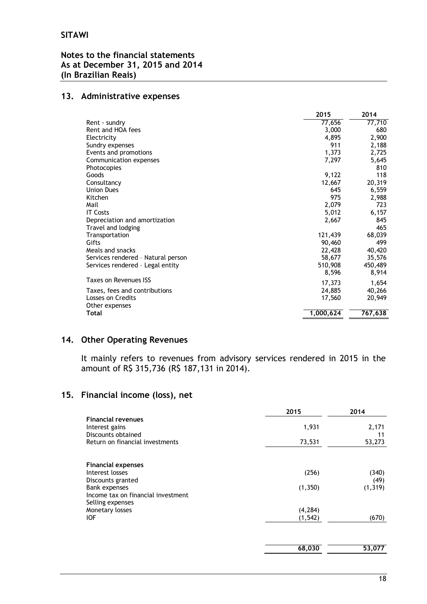# **Notes to the financial statements As at December 31, 2015 and 2014 (In Brazilian Reais)**

# **13. Administrative expenses**

|                                    | 2015      | 2014    |
|------------------------------------|-----------|---------|
| Rent - sundry                      | 77,656    | 77,710  |
| Rent and HOA fees                  | 3,000     | 680     |
| Electricity                        | 4,895     | 2,900   |
| Sundry expenses                    | 911       | 2,188   |
| Events and promotions              | 1,373     | 2,725   |
| Communication expenses             | 7,297     | 5,645   |
| Photocopies                        |           | 810     |
| Goods                              | 9,122     | 118     |
| Consultancy                        | 12,667    | 20,319  |
| <b>Union Dues</b>                  | 645       | 6,559   |
| Kitchen                            | 975       | 2,988   |
| Mail                               | 2,079     | 723     |
| <b>IT Costs</b>                    | 5,012     | 6,157   |
| Depreciation and amortization      | 2,667     | 845     |
| Travel and lodging                 |           | 465     |
| Transportation                     | 121,439   | 68,039  |
| Gifts                              | 90,460    | 499     |
| Meals and snacks                   | 22,428    | 40,420  |
| Services rendered - Natural person | 58,677    | 35,576  |
| Services rendered - Legal entity   | 510,908   | 450,489 |
|                                    | 8,596     | 8,914   |
| Taxes on Revenues ISS              | 17,373    | 1,654   |
| Taxes, fees and contributions      | 24,885    | 40,266  |
| Losses on Credits                  | 17,560    | 20,949  |
| Other expenses                     |           |         |
| Total                              | 1,000,624 | 767,638 |
|                                    |           |         |

# **14. Other Operating Revenues**

It mainly refers to revenues from advisory services rendered in 2015 in the amount of R\$ 315,736 (R\$ 187,131 in 2014).

# **15. Financial income (loss), net**

|                                                                                                                                                                                      | 2015                                     | 2014                               |
|--------------------------------------------------------------------------------------------------------------------------------------------------------------------------------------|------------------------------------------|------------------------------------|
| <b>Financial revenues</b><br>Interest gains<br>Discounts obtained                                                                                                                    | 1,931                                    | 2,171<br>11                        |
| Return on financial investments                                                                                                                                                      | 73,531                                   | 53,273                             |
| <b>Financial expenses</b><br>Interest losses<br>Discounts granted<br><b>Bank expenses</b><br>Income tax on financial investment<br>Selling expenses<br>Monetary losses<br><b>IOF</b> | (256)<br>(1,350)<br>(4, 284)<br>(1, 542) | (340)<br>(49)<br>(1, 319)<br>(670) |
|                                                                                                                                                                                      | 68,030                                   | 53,077                             |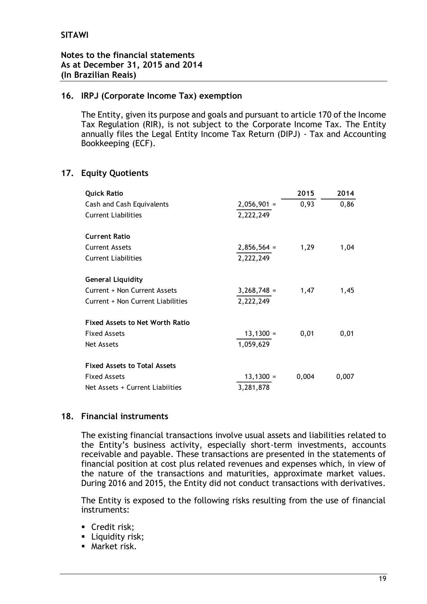# **16. IRPJ (Corporate Income Tax) exemption**

The Entity, given its purpose and goals and pursuant to article 170 of the Income Tax Regulation (RIR), is not subject to the Corporate Income Tax. The Entity annually files the Legal Entity Income Tax Return (DIPJ) - Tax and Accounting Bookkeeping (ECF).

# **17. Equity Quotients**

| <b>Quick Ratio</b>                     |               | 2015  | 2014  |
|----------------------------------------|---------------|-------|-------|
| Cash and Cash Equivalents              | $2,056,901 =$ | 0,93  | 0,86  |
| <b>Current Liabilities</b>             | 2,222,249     |       |       |
| <b>Current Ratio</b>                   |               |       |       |
| <b>Current Assets</b>                  | $2,856,564 =$ | 1,29  | 1,04  |
| <b>Current Liabilities</b>             | 2,222,249     |       |       |
| <b>General Liquidity</b>               |               |       |       |
| Current + Non Current Assets           | $3,268,748 =$ | 1,47  | 1,45  |
| Current + Non Current Liabilities      | 2,222,249     |       |       |
| <b>Fixed Assets to Net Worth Ratio</b> |               |       |       |
| <b>Fixed Assets</b>                    | $13,1300 =$   | 0,01  | 0,01  |
| <b>Net Assets</b>                      | 1,059,629     |       |       |
| <b>Fixed Assets to Total Assets</b>    |               |       |       |
| <b>Fixed Assets</b>                    | $13,1300 =$   | 0,004 | 0,007 |
| Net Assets + Current Liabiities        | 3,281,878     |       |       |

# **18. Financial instruments**

The existing financial transactions involve usual assets and liabilities related to the Entity's business activity, especially short-term investments, accounts receivable and payable. These transactions are presented in the statements of financial position at cost plus related revenues and expenses which, in view of the nature of the transactions and maturities, approximate market values. During 2016 and 2015, the Entity did not conduct transactions with derivatives.

The Entity is exposed to the following risks resulting from the use of financial instruments:

- Credit risk;
- **Liquidity risk;**
- Market risk.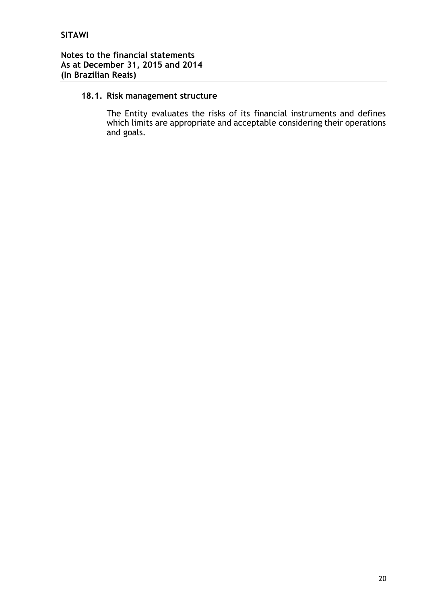# **18.1. Risk management structure**

The Entity evaluates the risks of its financial instruments and defines which limits are appropriate and acceptable considering their operations and goals.